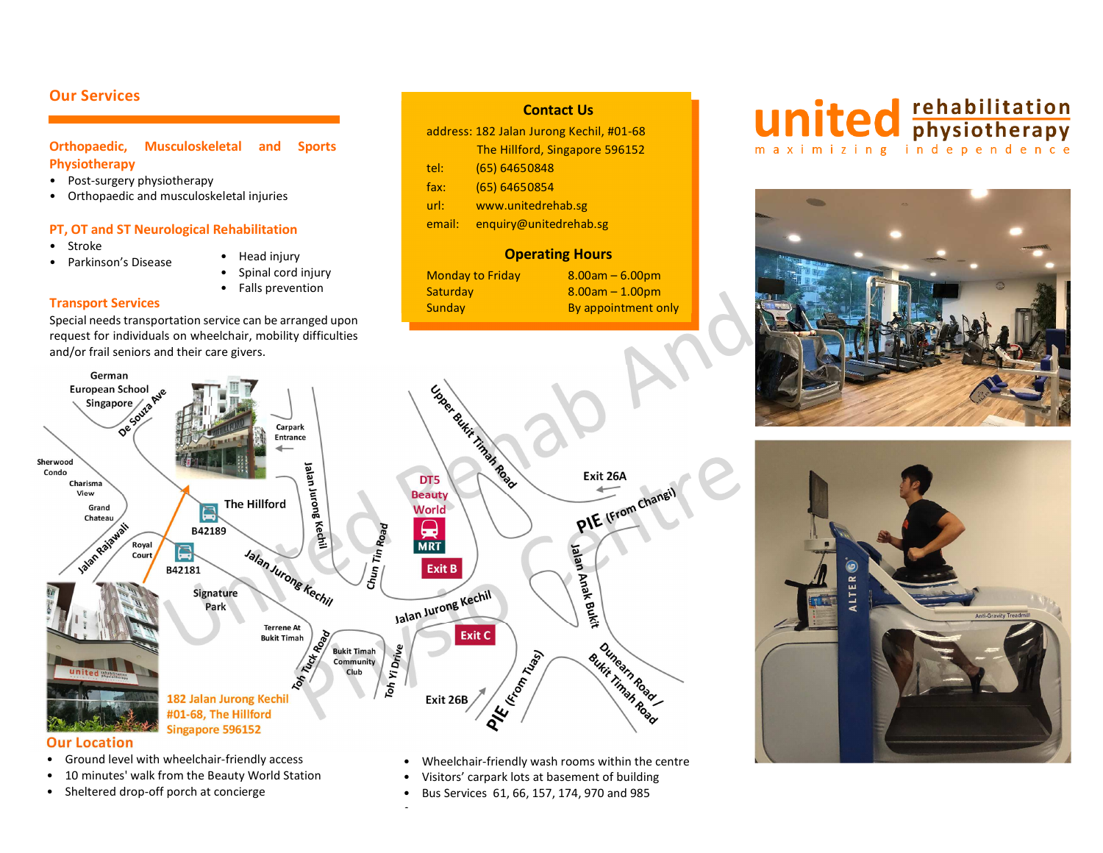## **Our Services**

## **Orthopaedic, Musculoskeletal and Sports Physiotherapy**

- Post-surgery physiotherapy
- Orthopaedic and musculoskeletal injuries

## **PT, OT and ST Neurological Rehabilitation**

•Stroke

•

- Parkinson's Disease
- Head injury
- •Spinal cord injury
- Falls prevention

## **Transport Services**

Special needs transportation service can be arranged upon request for individuals on wheelchair, mobility difficulties and/or frail seniors and their care givers.

## address: 182 Jalan Jurong Kechil, #01-68 The Hillford, Singapore 596152 tel: (65) 64650848 fax: (65) 64650854 url: www.unitedrehab.sg email: enquiry@unitedrehab.sg

**Contact Us** 

**Operating Hours** Monday to Friday  $8.00$ am – 6.00pm Saturday 8.00am – 1.00pm Sunday By appointment only

# **united Entry Separate Setter** maximizing independence







•

- Ground level with wheelchair-friendly access
- •10 minutes' walk from the Beauty World Station
- •Sheltered drop-off porch at concierge
- •Wheelchair-friendly wash rooms within the centre
- •Visitors' carpark lots at basement of building
- •Bus Services 61, 66, 157, 174, 970 and 985